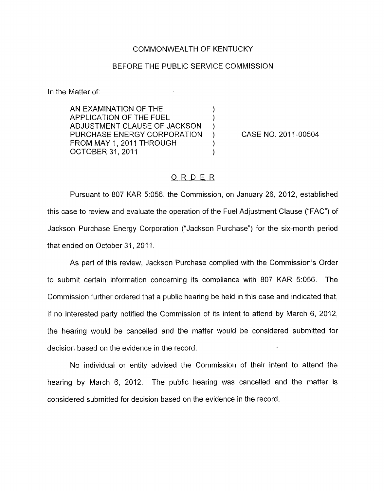## COMMONWEALTH OF KENTUCKY

## BEFORE THE PUBLIC SERVICE COMMISSION

In the Matter of:

AN EXAMINATION OF THE  $\left( \begin{array}{ccc} 0 & 0 & 0 \\ 0 & 0 & 1 \end{array} \right)$ APPLICATION OF THE FUEL ) ADJUSTMENT CLAUSE OF JACKSON ) PURCHASE ENERGY CORPORATION ) CASE NO. 2011-00504 FROM MAY 1, 2011 THROUGH (1) OCTOBER 31, 2011 1999

## ORDER

Pursuant to *807* KAR 5:056, the Commission, on January 26, 2012, established this case to review and evaluate the operation of the Fuel Adjustment Clause ("FAC") of Jackson Purchase Energy Corporation ("Jackson Purchase") for the six-month period that ended on October 31, 2011.

As part of this review, Jackson Purchase complied with the Commission's Order to submit certain information concerning its compliance with *807* KAR 5:056. The Commission further ordered that a public hearing be held in this case and indicated that, if no interested party notified the Commission of its intent to attend by March 6, 2012, the hearing would be cancelled and the matter would be considered submitted for decision based on the evidence in the record.

No individual or entity advised the Commission of their intent to attend the hearing by March 6, 2012. The public hearing was cancelled and the matter is considered submitted for decision based on the evidence in the record.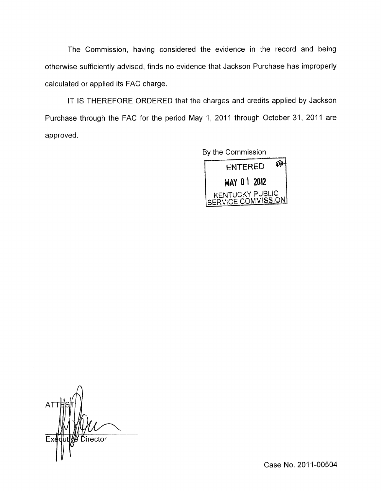The Commission, having considered the evidence in the record and being otherwise sufficiently advised, finds no evidence that Jackson Purchase has improperly calculated or applied its FAC charge.

IT IS THEREFORE ORDERED that the charges and credits applied by Jackson Purchase through the FAC for the period May 1, 2011 through October 31, 2011 are approved.

By the Commission



 $\Lambda$ AT Ďirector

Case No. 2011-00504